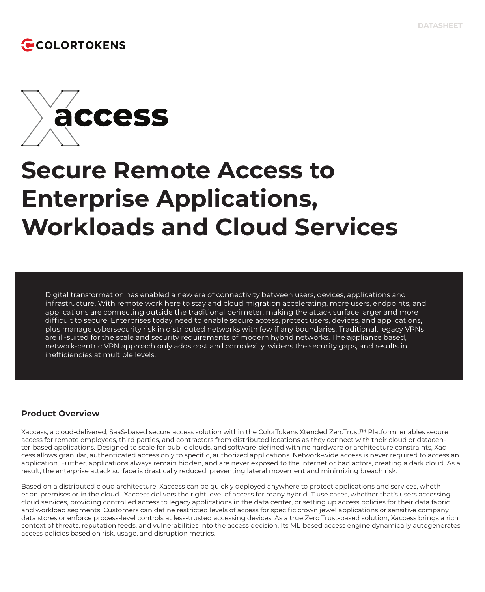## COLORTOKENS



# **Secure Remote Access to Enterprise Applications, Workloads and Cloud Services**

Digital transformation has enabled a new era of connectivity between users, devices, applications and infrastructure. With remote work here to stay and cloud migration accelerating, more users, endpoints, and applications are connecting outside the traditional perimeter, making the attack surface larger and more difficult to secure. Enterprises today need to enable secure access, protect users, devices, and applications, plus manage cybersecurity risk in distributed networks with few if any boundaries. Traditional, legacy VPNs are ill-suited for the scale and security requirements of modern hybrid networks. The appliance based, network-centric VPN approach only adds cost and complexity, widens the security gaps, and results in inefficiencies at multiple levels.

### **Product Overview**

Xaccess, a cloud-delivered, SaaS-based secure access solution within the ColorTokens Xtended ZeroTrust™ Platform, enables secure access for remote employees, third parties, and contractors from distributed locations as they connect with their cloud or datacenter-based applications. Designed to scale for public clouds, and software-defined with no hardware or architecture constraints, Xaccess allows granular, authenticated access only to specific, authorized applications. Network-wide access is never required to access an application. Further, applications always remain hidden, and are never exposed to the internet or bad actors, creating a dark cloud. As a result, the enterprise attack surface is drastically reduced, preventing lateral movement and minimizing breach risk.

Based on a distributed cloud architecture, Xaccess can be quickly deployed anywhere to protect applications and services, whether on-premises or in the cloud. Xaccess delivers the right level of access for many hybrid IT use cases, whether that's users accessing cloud services, providing controlled access to legacy applications in the data center, or setting up access policies for their data fabric and workload segments. Customers can define restricted levels of access for specific crown jewel applications or sensitive company data stores or enforce process-level controls at less-trusted accessing devices. As a true Zero Trust-based solution, Xaccess brings a rich context of threats, reputation feeds, and vulnerabilities into the access decision. Its ML-based access engine dynamically autogenerates access policies based on risk, usage, and disruption metrics.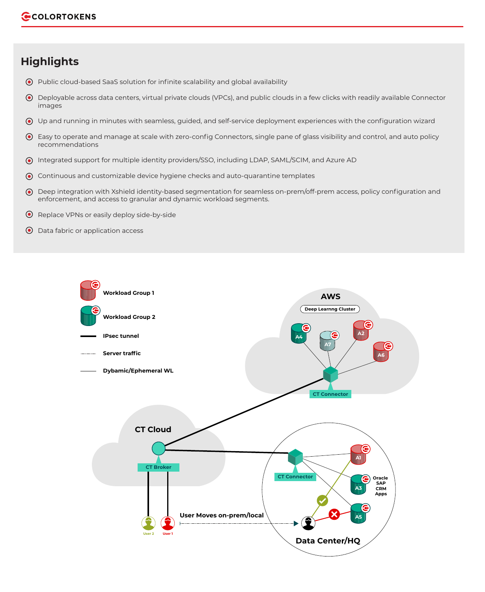## **Highlights**

- Public cloud-based SaaS solution for infinite scalability and global availability
- Deployable across data centers, virtual private clouds (VPCs), and public clouds in a few clicks with readily available Connector images
- Up and running in minutes with seamless, guided, and self-service deployment experiences with the configuration wizard
- Easy to operate and manage at scale with zero-config Connectors, single pane of glass visibility and control, and auto policy recommendations
- Integrated support for multiple identity providers/SSO, including LDAP, SAML/SCIM, and Azure AD
- Continuous and customizable device hygiene checks and auto-quarantine templates
- Deep integration with Xshield identity-based segmentation for seamless on-prem/off-prem access, policy configuration and enforcement, and access to granular and dynamic workload segments.
- $\odot$  Replace VPNs or easily deploy side-by-side
- Data fabric or application access

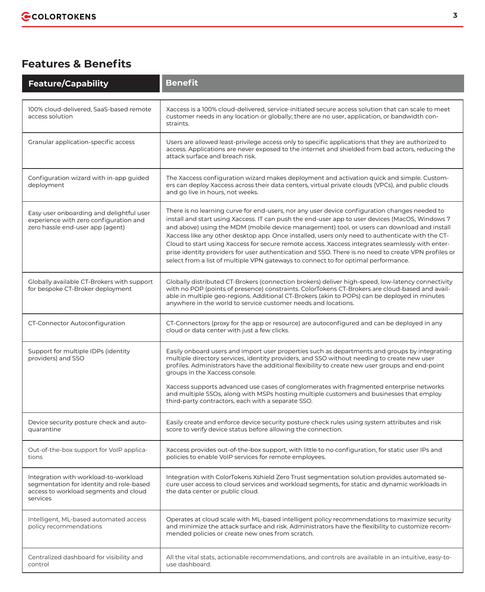## **Features & Benefits**

| <b>Feature/Capability</b>                                                                                                              | <b>Benefit</b>                                                                                                                                                                                                                                                                                                                                                                                                                                                                                                                                                                                                                                                                                        |
|----------------------------------------------------------------------------------------------------------------------------------------|-------------------------------------------------------------------------------------------------------------------------------------------------------------------------------------------------------------------------------------------------------------------------------------------------------------------------------------------------------------------------------------------------------------------------------------------------------------------------------------------------------------------------------------------------------------------------------------------------------------------------------------------------------------------------------------------------------|
| 100% cloud-delivered, SaaS-based remote<br>access solution                                                                             | Xaccess is a 100% cloud-delivered, service-initiated secure access solution that can scale to meet<br>customer needs in any location or globally; there are no user, application, or bandwidth con-<br>straints.                                                                                                                                                                                                                                                                                                                                                                                                                                                                                      |
| Granular application-specific access                                                                                                   | Users are allowed least-privilege access only to specific applications that they are authorized to<br>access. Applications are never exposed to the internet and shielded from bad actors, reducing the<br>attack surface and breach risk.                                                                                                                                                                                                                                                                                                                                                                                                                                                            |
| Configuration wizard with in-app guided<br>deployment                                                                                  | The Xaccess configuration wizard makes deployment and activation quick and simple. Custom-<br>ers can deploy Xaccess across their data centers, virtual private clouds (VPCs), and public clouds<br>and go live in hours, not weeks.                                                                                                                                                                                                                                                                                                                                                                                                                                                                  |
| Easy user onboarding and delightful user<br>experience with zero configuration and<br>zero hassle end-user app (agent)                 | There is no learning curve for end-users, nor any user device configuration changes needed to<br>install and start using Xaccess. IT can push the end-user app to user devices (MacOS, Windows 7<br>and above) using the MDM (mobile device management) tool, or users can download and install<br>Xaccess like any other desktop app. Once installed, users only need to authenticate with the CT-<br>Cloud to start using Xaccess for secure remote access. Xaccess integrates seamlessly with enter-<br>prise identity providers for user authentication and SSO. There is no need to create VPN profiles or<br>select from a list of multiple VPN gateways to connect to for optimal performance. |
| Globally available CT-Brokers with support<br>for bespoke CT-Broker deployment                                                         | Globally distributed CT-Brokers (connection brokers) deliver high-speed, low-latency connectivity<br>with no POP (points of presence) constraints. ColorTokens CT-Brokers are cloud-based and avail-<br>able in multiple geo-regions. Additional CT-Brokers (akin to POPs) can be deployed in minutes<br>anywhere in the world to service customer needs and locations.                                                                                                                                                                                                                                                                                                                               |
| CT-Connector Autoconfiguration                                                                                                         | CT-Connectors (proxy for the app or resource) are autoconfigured and can be deployed in any<br>cloud or data center with just a few clicks.                                                                                                                                                                                                                                                                                                                                                                                                                                                                                                                                                           |
| Support for multiple IDPs (identity<br>providers) and SSO                                                                              | Easily onboard users and import user properties such as departments and groups by integrating<br>multiple directory services, identity providers, and SSO without needing to create new user<br>profiles. Administrators have the additional flexibility to create new user groups and end-point<br>groups in the Xaccess console.<br>Xaccess supports advanced use cases of conglomerates with fragmented enterprise networks                                                                                                                                                                                                                                                                        |
|                                                                                                                                        | and multiple SSOs, along with MSPs hosting multiple customers and businesses that employ<br>third-party contractors, each with a separate SSO.                                                                                                                                                                                                                                                                                                                                                                                                                                                                                                                                                        |
| Device security posture check and auto-<br>quarantine                                                                                  | Easily create and enforce device security posture check rules using system attributes and risk<br>score to verify device status before allowing the connection.                                                                                                                                                                                                                                                                                                                                                                                                                                                                                                                                       |
| Out-of-the-box support for VoIP applica-<br>tions                                                                                      | Xaccess provides out-of-the-box support, with little to no configuration, for static user IPs and<br>policies to enable VoIP services for remote employees.                                                                                                                                                                                                                                                                                                                                                                                                                                                                                                                                           |
| Integration with workload-to-workload<br>segmentation for identity and role-based<br>access to workload segments and cloud<br>services | Integration with ColorTokens Xshield Zero Trust segmentation solution provides automated se-<br>cure user access to cloud services and workload segments, for static and dynamic workloads in<br>the data center or public cloud.                                                                                                                                                                                                                                                                                                                                                                                                                                                                     |
| Intelligent, ML-based automated access<br>policy recommendations                                                                       | Operates at cloud scale with ML-based intelligent policy recommendations to maximize security<br>and minimize the attack surface and risk. Administrators have the flexibility to customize recom-<br>mended policies or create new ones from scratch.                                                                                                                                                                                                                                                                                                                                                                                                                                                |
| Centralized dashboard for visibility and<br>control                                                                                    | All the vital stats, actionable recommendations, and controls are available in an intuitive, easy-to-<br>use dashboard.                                                                                                                                                                                                                                                                                                                                                                                                                                                                                                                                                                               |